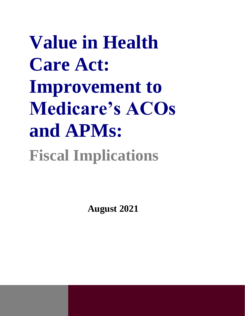**Value in Health Care Act: Improvement to Medicare's ACOs and APMs: Fiscal Implications**

**August 2021**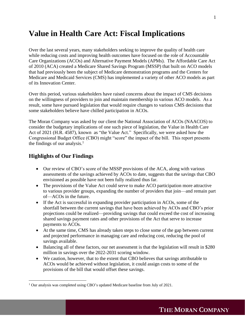# **Value in Health Care Act: Fiscal Implications**

Over the last several years, many stakeholders seeking to improve the quality of health care while reducing costs and improving health outcomes have focused on the role of Accountable Care Organizations (ACOs) and Alternative Payment Models (APMs). The Affordable Care Act of 2010 (ACA) created a Medicare Shared Savings Program (MSSP) that built on ACO models that had previously been the subject of Medicare demonstration programs and the Centers for Medicare and Medicaid Services (CMS) has implemented a variety of other ACO models as part of its Innovation Center.

Over this period, various stakeholders have raised concerns about the impact of CMS decisions on the willingness of providers to join and maintain membership in various ACO models. As a result, some have pursued legislation that would require changes to various CMS decisions that some stakeholders believe have chilled participation in ACOs.

The Moran Company was asked by our client the National Association of ACOs (NAACOS) to consider the budgetary implications of one such piece of legislation, the Value in Health Care Act of 2021 (H.R. 4587), known as "the Value Act." Specifically, we were asked how the Congressional Budget Office (CBO) might "score" the impact of the bill. This report presents the findings of our analysis. $<sup>1</sup>$ </sup>

#### **Highlights of Our Findings**

- Our review of CBO's score of the MSSP provisions of the ACA, along with various assessments of the savings achieved by ACOs to date, suggests that the savings that CBO envisioned as possible have not been fully realized thus far.
- The provisions of the Value Act could serve to make ACO participation more attractive to various provider groups, expanding the number of providers that join—and remain part of—ACOs in the future.
- If the Act is successful in expanding provider participation in ACOs, some of the shortfall between the current savings that have been achieved by ACOs and CBO's prior projections could be realized—providing savings that could exceed the cost of increasing shared savings payment rates and other provisions of the Act that serve to increase payments to ACOs.
- At the same time, CMS has already taken steps to close some of the gap between current and projected performance in managing care and reducing cost, reducing the pool of savings available.
- Balancing all of these factors, our net assessment is that the legislation will result in \$280 million in savings over the 2022-2031 scoring window.
- We caution, however, that to the extent that CBO believes that savings attributable to ACOs would be achieved without legislation, it could assign costs to some of the provisions of the bill that would offset these savings.

<sup>1</sup> Our analysis was completed using CBO's updated Medicare baseline from July of 2021.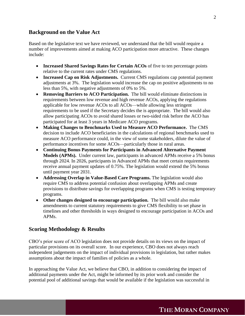### **Background on the Value Act**

Based on the legislative text we have reviewed, we understand that the bill would require a number of improvements aimed at making ACO participation more attractive. These changes include:

- **Increased Shared Savings Rates for Certain ACOs** of five to ten percentage points relative to the current rates under CMS regulations.
- **Increased Cap on Risk Adjustments.** Current CMS regulations cap potential payment adjustments at 3%. The legislation would increase the cap on positive adjustments to no less than 5%, with negative adjustments of 0% to 5%.
- **Removing Barriers to ACO Participation.** The bill would eliminate distinctions in requirements between low revenue and high revenue ACOs, applying the regulations applicable for low revenue ACOs to all ACOs—while allowing less stringent requirements to be used if the Secretary decides the is appropriate. The bill would also allow participating ACOs to avoid shared losses or two-sided risk before the ACO has participated for at least 3 years in Medicare ACO programs.
- **Making Changes to Benchmarks Used to Measure ACO Performance.** The CMS decision to include ACO beneficiaries in the calculations of regional benchmarks used to measure ACO performance could, in the view of some stakeholders, dilute the value of performance incentives for some ACOs—particularly those in rural areas.
- **Continuing Bonus Payments for Participants in Advanced Alternative Payment Models (APMs).** Under current law, participants in advanced APMs receive a 5% bonus through 2024. In 2026, participants in Advanced APMs that meet certain requirements receive annual payment updates of 0.75%. The legislation would extend the 5% bonus until payment year 2031.
- **Addressing Overlap in Value-Based Care Programs.** The legislation would also require CMS to address potential confusion about overlapping APMs and create provisions to distribute savings for overlapping programs when CMS is testing temporary programs.
- **Other changes designed to encourage participation.** The bill would also make amendments to current statutory requirements to give CMS flexibility to set phase in timelines and other thresholds in ways designed to encourage participation in ACOs and APMs.

### **Scoring Methodology & Results**

CBO's prior score of ACO legislation does not provide details on its views on the impact of particular provisions on its overall score. In our experience, CBO does not always reach independent judgements on the impact of individual provisions in legislation, but rather makes assumptions about the impact of families of policies as a whole.

In approaching the Value Act, we believe that CBO, in addition to considering the impact of additional payments under the Act, might be informed by its prior work and consider the potential pool of additional savings that would be available if the legislation was successful in

## **THE MORAN COMPANY**